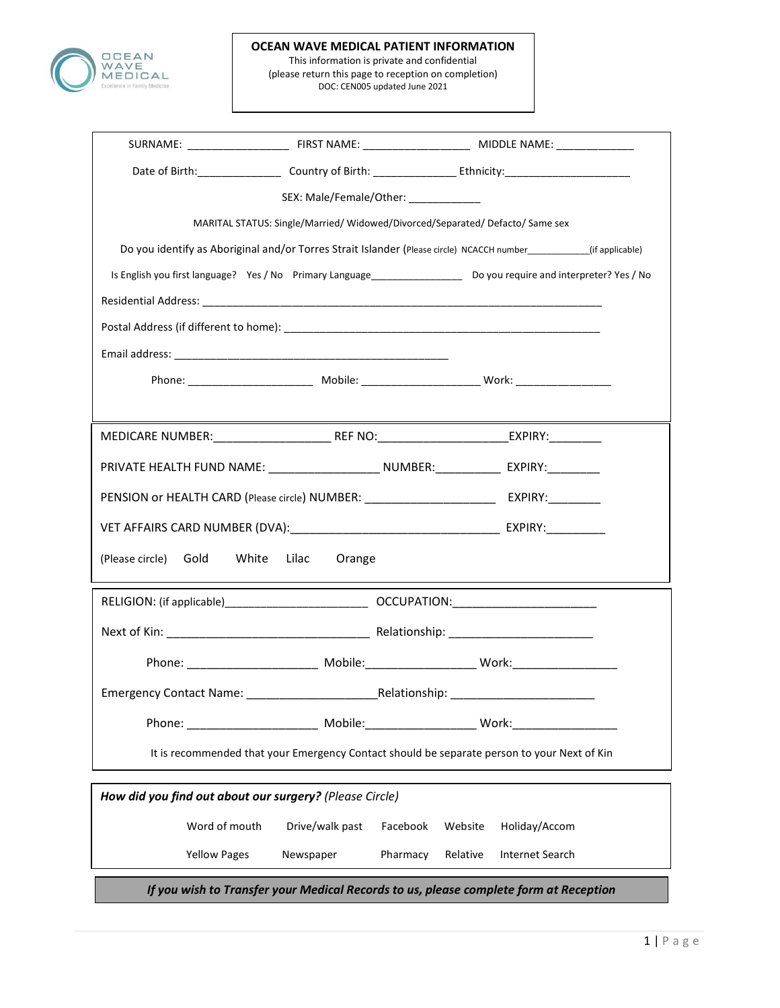

н

#### OCEAN WAVE MEDICAL PATIENT INFORMATION

This information is private and confidential (please return this page to reception on completion) DOC: CEN005 updated June 2021

|                                                                                                                |                          | SEX: Male/Female/Other: ______________                                                                                   |  |  |
|----------------------------------------------------------------------------------------------------------------|--------------------------|--------------------------------------------------------------------------------------------------------------------------|--|--|
|                                                                                                                |                          | MARITAL STATUS: Single/Married/ Widowed/Divorced/Separated/ Defacto/ Same sex                                            |  |  |
|                                                                                                                |                          | Do you identify as Aboriginal and/or Torres Strait Islander (Please circle) NCACCH number ________(if applicable)        |  |  |
|                                                                                                                |                          | Is English you first language? Yes / No Primary Language_______________________ Do you require and interpreter? Yes / No |  |  |
|                                                                                                                |                          |                                                                                                                          |  |  |
|                                                                                                                |                          |                                                                                                                          |  |  |
|                                                                                                                |                          |                                                                                                                          |  |  |
|                                                                                                                |                          |                                                                                                                          |  |  |
|                                                                                                                |                          |                                                                                                                          |  |  |
|                                                                                                                |                          |                                                                                                                          |  |  |
|                                                                                                                |                          | PRIVATE HEALTH FUND NAME: ____________________________NUMBER: __________________ EXPIRY:___________                      |  |  |
|                                                                                                                |                          | PENSION or HEALTH CARD (Please circle) NUMBER: __________________________________ EXPIRY:___________                     |  |  |
|                                                                                                                |                          |                                                                                                                          |  |  |
| (Please circle)<br>Gold                                                                                        | White<br>Lilac<br>Orange |                                                                                                                          |  |  |
|                                                                                                                |                          |                                                                                                                          |  |  |
|                                                                                                                |                          |                                                                                                                          |  |  |
|                                                                                                                |                          |                                                                                                                          |  |  |
|                                                                                                                |                          |                                                                                                                          |  |  |
|                                                                                                                |                          | _Relationship: __________________________________                                                                        |  |  |
|                                                                                                                |                          |                                                                                                                          |  |  |
| Phone: and the phone of the set of the set of the set of the set of the set of the set of the set of the set o |                          |                                                                                                                          |  |  |
|                                                                                                                |                          | It is recommended that your Emergency Contact should be separate person to your Next of Kin                              |  |  |
| How did you find out about our surgery? (Please Circle)                                                        |                          |                                                                                                                          |  |  |
| Word of mouth                                                                                                  | Drive/walk past          | Facebook<br>Holiday/Accom<br>Website                                                                                     |  |  |
| <b>Yellow Pages</b>                                                                                            | Newspaper                | Pharmacy<br>Relative<br>Internet Search                                                                                  |  |  |
| If you wish to Transfer your Medical Records to us, please complete form at Reception                          |                          |                                                                                                                          |  |  |

 $\mathbf{I}$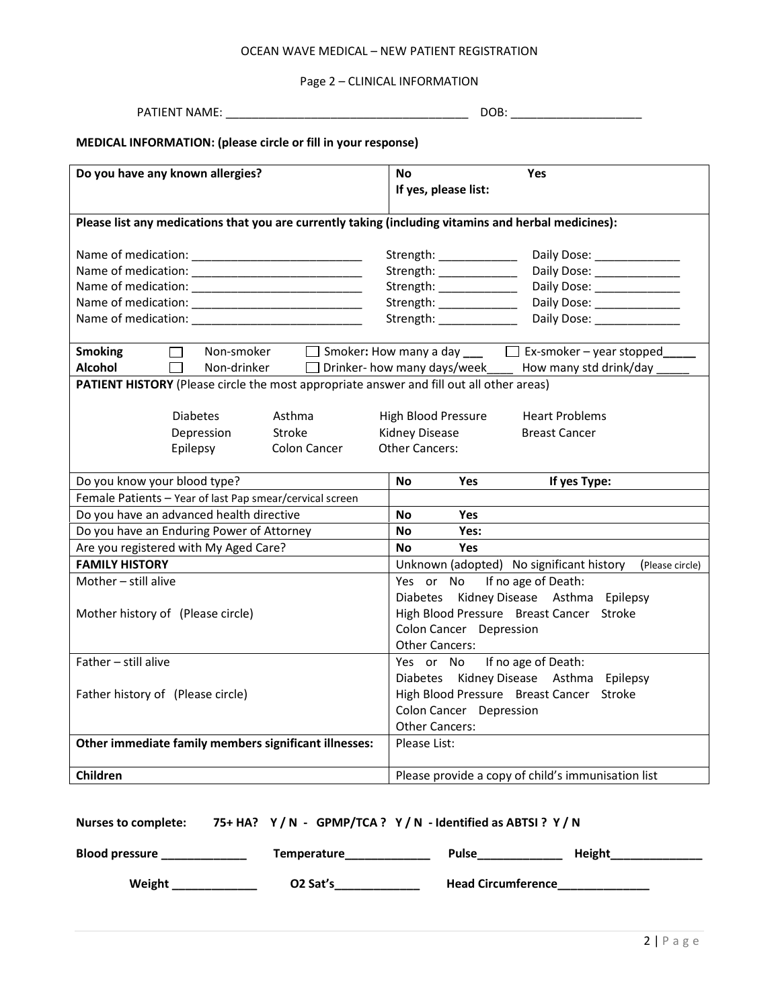## OCEAN WAVE MEDICAL – NEW PATIENT REGISTRATION

# Page 2 – CLINICAL INFORMATION

| <b>PATIENT NAME:</b> |
|----------------------|
|----------------------|

PATIENT NAME: \_\_\_\_\_\_\_\_\_\_\_\_\_\_\_\_\_\_\_\_\_\_\_\_\_\_\_\_\_\_\_\_\_\_\_\_\_ DOB: \_\_\_\_\_\_\_\_\_\_\_\_\_\_\_\_\_\_\_\_

# MEDICAL INFORMATION: (please circle or fill in your response)

| Do you have any known allergies?                                                                                                                                               | No<br>Yes<br>If yes, please list:                                                                                                                                 |  |  |
|--------------------------------------------------------------------------------------------------------------------------------------------------------------------------------|-------------------------------------------------------------------------------------------------------------------------------------------------------------------|--|--|
| Please list any medications that you are currently taking (including vitamins and herbal medicines):                                                                           |                                                                                                                                                                   |  |  |
|                                                                                                                                                                                | Strength: _____________                                                                                                                                           |  |  |
|                                                                                                                                                                                | Daily Dose: ________________                                                                                                                                      |  |  |
|                                                                                                                                                                                | Strength: ____________<br>Daily Dose: _________________                                                                                                           |  |  |
|                                                                                                                                                                                | Strength: _____________<br>Daily Dose: _________________                                                                                                          |  |  |
|                                                                                                                                                                                | Strength: ______________<br>Daily Dose: _________________                                                                                                         |  |  |
| <b>Smoking</b><br>$\Box$<br>Alcohol<br>Non-drinker Dinker- how many days/week<br>П<br>PATIENT HISTORY (Please circle the most appropriate answer and fill out all other areas) | Non-smoker $\Box$ Smoker: How many a day $\Box$ Ex-smoker – year stopped<br>How many std drink/day                                                                |  |  |
| <b>Diabetes</b><br>Asthma<br>Stroke<br>Depression<br>Colon Cancer<br>Epilepsy                                                                                                  | <b>Heart Problems</b><br>High Blood Pressure<br>Kidney Disease<br><b>Breast Cancer</b><br><b>Other Cancers:</b>                                                   |  |  |
| Do you know your blood type?                                                                                                                                                   | If yes Type:<br><b>Yes</b><br>No.                                                                                                                                 |  |  |
| Female Patients - Year of last Pap smear/cervical screen                                                                                                                       |                                                                                                                                                                   |  |  |
| Do you have an advanced health directive                                                                                                                                       | <b>Yes</b><br>No                                                                                                                                                  |  |  |
| Do you have an Enduring Power of Attorney                                                                                                                                      | Yes:<br>No                                                                                                                                                        |  |  |
| Are you registered with My Aged Care?                                                                                                                                          | Yes<br>No                                                                                                                                                         |  |  |
| <b>FAMILY HISTORY</b>                                                                                                                                                          | Unknown (adopted) No significant history<br>(Please circle)                                                                                                       |  |  |
| Mother - still alive<br>Mother history of (Please circle)                                                                                                                      | Yes or No If no age of Death:<br>Diabetes Kidney Disease Asthma Epilepsy<br>High Blood Pressure Breast Cancer Stroke<br>Colon Cancer Depression<br>Other Cancers: |  |  |
| Father - still alive                                                                                                                                                           | Yes or No If no age of Death:<br>Diabetes Kidney Disease Asthma Epilepsy                                                                                          |  |  |
| Father history of (Please circle)                                                                                                                                              | High Blood Pressure Breast Cancer Stroke<br>Colon Cancer Depression<br><b>Other Cancers:</b>                                                                      |  |  |
| Other immediate family members significant illnesses:                                                                                                                          | Please List:                                                                                                                                                      |  |  |
| Children                                                                                                                                                                       | Please provide a copy of child's immunisation list                                                                                                                |  |  |

| <b>Nurses to complete:</b> |  |  | 75+ HA? $Y/N$ - GPMP/TCA ? $Y/N$ - Identified as ABTSI ? $Y/N$ |  |
|----------------------------|--|--|----------------------------------------------------------------|--|
|----------------------------|--|--|----------------------------------------------------------------|--|

| <b>Blood pressure</b> | Temperature          | <b>Pulse</b>              | Height |
|-----------------------|----------------------|---------------------------|--------|
| Weight                | O <sub>2</sub> Sat's | <b>Head Circumference</b> |        |